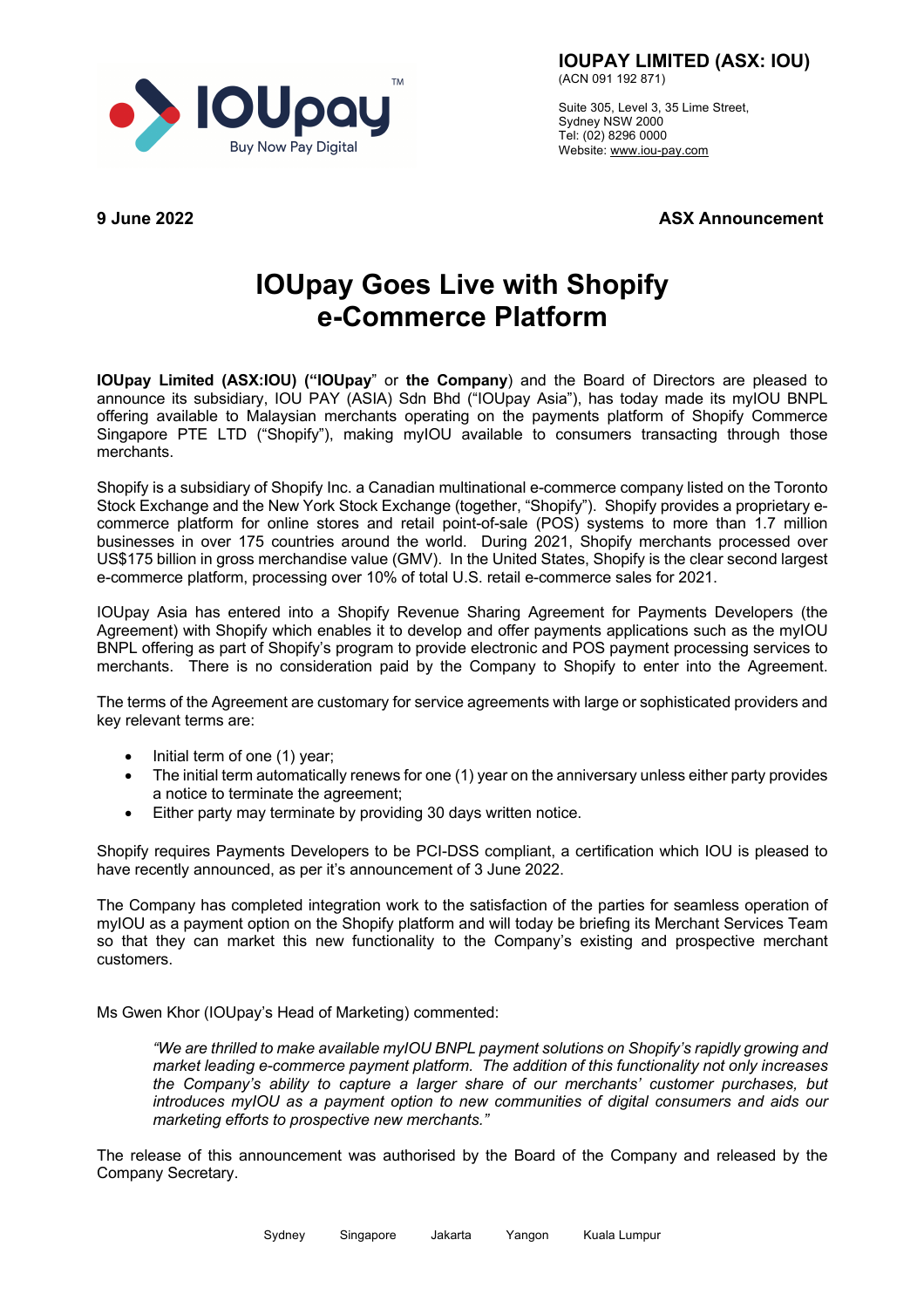

**IOUPAY LIMITED (ASX: IOU)** (ACN 091 192 871)

Suite 305, Level 3, 35 Lime Street, Sydney NSW 2000 Tel: (02) 8296 0000 Website: www.iou-pay.com

**9 June 2022 ASX Announcement**

## **IOUpay Goes Live with Shopify e-Commerce Platform**

**IOUpay Limited (ASX:IOU) ("IOUpay**" or **the Company**) and the Board of Directors are pleased to announce its subsidiary, IOU PAY (ASIA) Sdn Bhd ("IOUpay Asia"), has today made its myIOU BNPL offering available to Malaysian merchants operating on the payments platform of Shopify Commerce Singapore PTE LTD ("Shopify"), making myIOU available to consumers transacting through those merchants.

Shopify is a subsidiary of Shopify Inc. a Canadian multinational e-commerce company listed on the Toronto Stock Exchange and the New York Stock Exchange (together, "Shopify"). Shopify provides a proprietary ecommerce platform for online stores and retail point-of-sale (POS) systems to more than 1.7 million businesses in over 175 countries around the world. During 2021, Shopify merchants processed over US\$175 billion in gross merchandise value (GMV). In the United States, Shopify is the clear second largest e-commerce platform, processing over 10% of total U.S. retail e-commerce sales for 2021.

IOUpay Asia has entered into a Shopify Revenue Sharing Agreement for Payments Developers (the Agreement) with Shopify which enables it to develop and offer payments applications such as the myIOU BNPL offering as part of Shopify's program to provide electronic and POS payment processing services to merchants. There is no consideration paid by the Company to Shopify to enter into the Agreement.

The terms of the Agreement are customary for service agreements with large or sophisticated providers and key relevant terms are:

- Initial term of one (1) year;
- The initial term automatically renews for one (1) year on the anniversary unless either party provides a notice to terminate the agreement;
- Either party may terminate by providing 30 days written notice.

Shopify requires Payments Developers to be PCI-DSS compliant, a certification which IOU is pleased to have recently announced, as per it's announcement of 3 June 2022.

The Company has completed integration work to the satisfaction of the parties for seamless operation of myIOU as a payment option on the Shopify platform and will today be briefing its Merchant Services Team so that they can market this new functionality to the Company's existing and prospective merchant customers.

Ms Gwen Khor (IOUpay's Head of Marketing) commented:

*"We are thrilled to make available myIOU BNPL payment solutions on Shopify's rapidly growing and market leading e-commerce payment platform. The addition of this functionality not only increases the Company's ability to capture a larger share of our merchants' customer purchases, but introduces myIOU as a payment option to new communities of digital consumers and aids our marketing efforts to prospective new merchants."*

The release of this announcement was authorised by the Board of the Company and released by the Company Secretary.